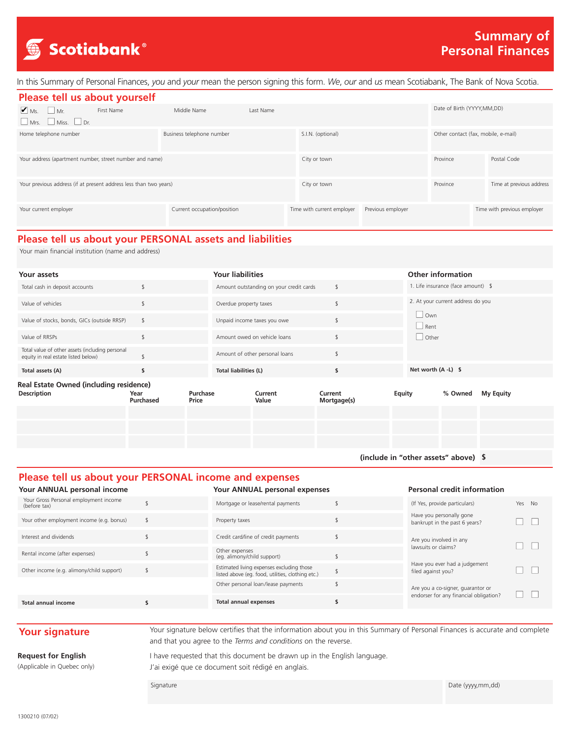

In this Summary of Personal Finances, *you* and *your* mean the person signing this form. *We*, *our* and *us* mean Scotiabank, The Bank of Nova Scotia.

| Please tell us about yourself                                                |            |                             |           |                            |                   |                                     |                             |  |  |
|------------------------------------------------------------------------------|------------|-----------------------------|-----------|----------------------------|-------------------|-------------------------------------|-----------------------------|--|--|
| $\blacksquare$ Ms. $\blacksquare$ Mr.<br>$\Box$ Mrs. $\Box$ Miss. $\Box$ Dr. | First Name | Middle Name                 | Last Name |                            |                   | Date of Birth (YYYY, MM, DD)        |                             |  |  |
| Home telephone number                                                        |            | Business telephone number   |           | S.I.N. (optional)          |                   | Other contact (fax, mobile, e-mail) |                             |  |  |
| Your address (apartment number, street number and name)                      |            |                             |           | City or town               |                   | Province                            | Postal Code                 |  |  |
| Your previous address (if at present address less than two years)            |            |                             |           | City or town               |                   | Province                            | Time at previous address    |  |  |
| Your current employer                                                        |            | Current occupation/position |           | Time with current employer | Previous employer |                                     | Time with previous employer |  |  |

## **Please tell us about your PERSONAL assets and liabilities**

Your main financial institution (name and address)

| Your assets                                                                            |                   |                   | <b>Your liabilities</b> |                                         |                        |                                      | <b>Other information</b>  |                                    |                  |  |
|----------------------------------------------------------------------------------------|-------------------|-------------------|-------------------------|-----------------------------------------|------------------------|--------------------------------------|---------------------------|------------------------------------|------------------|--|
| Total cash in deposit accounts                                                         |                   |                   |                         | Amount outstanding on your credit cards | \$                     |                                      |                           | 1. Life insurance (face amount) \$ |                  |  |
| Value of vehicles                                                                      |                   |                   | Overdue property taxes  |                                         | \$                     |                                      |                           | 2. At your current address do you  |                  |  |
| Value of stocks, bonds, GICs (outside RRSP)                                            | \$                |                   |                         | Unpaid income taxes you owe             | \$                     |                                      | $\Box$ Own<br>$\Box$ Rent |                                    |                  |  |
| Value of RRSPs                                                                         | $\mathsf{\$}$     |                   |                         | Amount owed on vehicle loans            | \$                     |                                      | $\Box$ Other              |                                    |                  |  |
| Total value of other assets (including personal<br>equity in real estate listed below) |                   |                   |                         | Amount of other personal loans          | \$                     |                                      |                           |                                    |                  |  |
| Total assets (A)                                                                       | \$                |                   | Total liabilities (L)   |                                         | \$                     |                                      | Net worth $(A - L)$ \$    |                                    |                  |  |
| Real Estate Owned (including residence)<br><b>Description</b>                          | Year<br>Purchased | Purchase<br>Price |                         | Current<br>Value                        | Current<br>Mortgage(s) | Equity                               |                           | % Owned                            | <b>My Equity</b> |  |
|                                                                                        |                   |                   |                         |                                         |                        |                                      |                           |                                    |                  |  |
|                                                                                        |                   |                   |                         |                                         |                        |                                      |                           |                                    |                  |  |
|                                                                                        |                   |                   |                         |                                         |                        |                                      |                           |                                    |                  |  |
|                                                                                        |                   |                   |                         |                                         |                        | (include in "other assets" above) \$ |                           |                                    |                  |  |

### **Please tell us about your PERSONAL income and expenses**

### **Personal credit information**

| Your Gross Personal employment income<br>(before tax) | Mortgage or lease/rental payments                                                              | (If Yes, provide particulars)                             | Yes No |
|-------------------------------------------------------|------------------------------------------------------------------------------------------------|-----------------------------------------------------------|--------|
| Your other employment income (e.g. bonus)             | Property taxes                                                                                 | Have you personally gone<br>bankrupt in the past 6 years? |        |
| Interest and dividends                                | Credit card/line of credit payments                                                            | Are you involved in any                                   |        |
| Rental income (after expenses)                        | Other expenses<br>(eq. alimony/child support)                                                  | lawsuits or claims?                                       |        |
| Other income (e.g. alimony/child support)             | Estimated living expenses excluding those<br>listed above (eq. food, utilities, clothing etc.) | Have you ever had a judgement<br>filed against you?       |        |
|                                                       | Other personal loan/lease payments                                                             | Are you a co-signer, guarantor or                         |        |
| Total annual income                                   | <b>Total annual expenses</b>                                                                   | endorser for any financial obligation?                    |        |

**Your ANNUAL personal expenses**

**Your ANNUAL personal income**

**Your signature** Your signature below certifies that the information about you in this Summary of Personal Finances is accurate and complete and that you agree to the *Terms and conditions* on the reverse.

### **Request for English**

(Applicable in Quebec only)

I have requested that this document be drawn up in the English language. J'ai exigé que ce document soit rédigé en anglais.

Signature Date (yyyy,mm,dd)